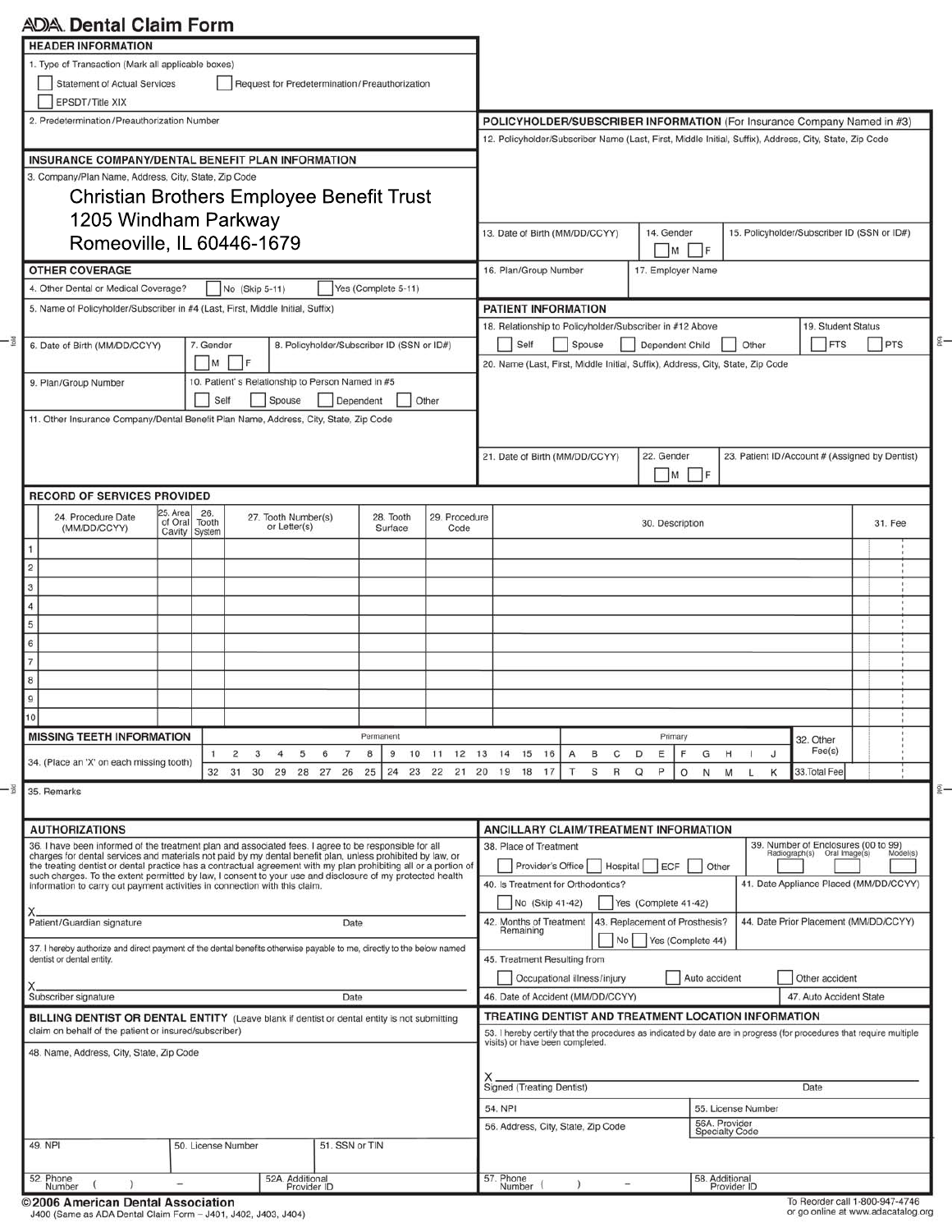# **ADIA** Dental Claim Form

| <b>HEADER INFORMATION</b>                                                                                                                                                                                                                                                                                                               |                                                                                                                                      |                                                        |                   |                     |                                        |                                                                                                                                                                            |                                       |                                    |                                 |             |                                                |         |
|-----------------------------------------------------------------------------------------------------------------------------------------------------------------------------------------------------------------------------------------------------------------------------------------------------------------------------------------|--------------------------------------------------------------------------------------------------------------------------------------|--------------------------------------------------------|-------------------|---------------------|----------------------------------------|----------------------------------------------------------------------------------------------------------------------------------------------------------------------------|---------------------------------------|------------------------------------|---------------------------------|-------------|------------------------------------------------|---------|
| 1. Type of Transaction (Mark all applicable boxes)                                                                                                                                                                                                                                                                                      |                                                                                                                                      |                                                        |                   |                     |                                        |                                                                                                                                                                            |                                       |                                    |                                 |             |                                                |         |
| <b>Statement of Actual Services</b><br>EPSDT/Title XIX                                                                                                                                                                                                                                                                                  |                                                                                                                                      | Request for Predetermination/Preauthorization          |                   |                     |                                        |                                                                                                                                                                            |                                       |                                    |                                 |             |                                                |         |
| 2. Predetermination/Preauthorization Number                                                                                                                                                                                                                                                                                             |                                                                                                                                      |                                                        |                   |                     |                                        | POLICYHOLDER/SUBSCRIBER INFORMATION (For Insurance Company Named in #3)                                                                                                    |                                       |                                    |                                 |             |                                                |         |
|                                                                                                                                                                                                                                                                                                                                         |                                                                                                                                      |                                                        |                   |                     |                                        | 12. Policyholder/Subscriber Name (Last, First, Middle Initial, Suffix), Address, City, State, Zip Code                                                                     |                                       |                                    |                                 |             |                                                |         |
| INSURANCE COMPANY/DENTAL BENEFIT PLAN INFORMATION                                                                                                                                                                                                                                                                                       |                                                                                                                                      |                                                        |                   |                     |                                        |                                                                                                                                                                            |                                       |                                    |                                 |             |                                                |         |
| 3. Company/Plan Name, Address, City, State, Zip Code<br><b>Christian Brothers Employee Benefit Trust</b>                                                                                                                                                                                                                                |                                                                                                                                      |                                                        |                   |                     |                                        |                                                                                                                                                                            |                                       |                                    |                                 |             |                                                |         |
| 1205 Windham Parkway                                                                                                                                                                                                                                                                                                                    |                                                                                                                                      |                                                        |                   |                     |                                        |                                                                                                                                                                            |                                       |                                    |                                 |             |                                                |         |
| Romeoville, IL 60446-1679                                                                                                                                                                                                                                                                                                               | 13. Date of Birth (MM/DD/CCYY)                                                                                                       |                                                        | 14. Gender        |                     |                                        | 15. Policyholder/Subscriber ID (SSN or ID#)                                                                                                                                |                                       |                                    |                                 |             |                                                |         |
|                                                                                                                                                                                                                                                                                                                                         |                                                                                                                                      |                                                        | $\vert M \vert$   | - F                 |                                        |                                                                                                                                                                            |                                       |                                    |                                 |             |                                                |         |
| <b>OTHER COVERAGE</b><br>4. Other Dental or Medical Coverage?                                                                                                                                                                                                                                                                           | 16. Plan/Group Number                                                                                                                |                                                        | 17. Employer Name |                     |                                        |                                                                                                                                                                            |                                       |                                    |                                 |             |                                                |         |
| 5. Name of Policyholder/Subscriber in #4 (Last, First, Middle Initial, Suffix)                                                                                                                                                                                                                                                          |                                                                                                                                      | No (Skip 5-11)                                         |                   | Yes (Complete 5-11) |                                        | PATIENT INFORMATION                                                                                                                                                        |                                       |                                    |                                 |             |                                                |         |
|                                                                                                                                                                                                                                                                                                                                         | 18. Relationship to Policyholder/Subscriber in #12 Above                                                                             |                                                        |                   |                     |                                        | 19. Student Status                                                                                                                                                         |                                       |                                    |                                 |             |                                                |         |
| 6. Date of Birth (MM/DD/CCYY)                                                                                                                                                                                                                                                                                                           | 7. Gender                                                                                                                            | 8. Policyholder/Subscriber ID (SSN or ID#)             | Self              | Spouse              | Dependent Child                        |                                                                                                                                                                            | Other                                 | <b>FTS</b>                         | PTS                             |             |                                                |         |
| 9. Plan/Group Number                                                                                                                                                                                                                                                                                                                    | M                                                                                                                                    | F <br>10. Patient's Relationship to Person Named in #5 |                   |                     |                                        | 20. Name (Last, First, Middle Initial, Suffix), Address, City, State, Zip Code                                                                                             |                                       |                                    |                                 |             |                                                |         |
|                                                                                                                                                                                                                                                                                                                                         | Self                                                                                                                                 | Spouse                                                 | Dependent         |                     | Other                                  |                                                                                                                                                                            |                                       |                                    |                                 |             |                                                |         |
| 11. Other Insurance Company/Dental Benefit Plan Name, Address, City, State, Zip Code                                                                                                                                                                                                                                                    |                                                                                                                                      |                                                        |                   |                     |                                        |                                                                                                                                                                            |                                       |                                    |                                 |             |                                                |         |
|                                                                                                                                                                                                                                                                                                                                         |                                                                                                                                      |                                                        |                   |                     |                                        |                                                                                                                                                                            |                                       |                                    |                                 |             |                                                |         |
|                                                                                                                                                                                                                                                                                                                                         |                                                                                                                                      |                                                        |                   |                     |                                        | 21. Date of Birth (MM/DD/CCYY)                                                                                                                                             |                                       | 22. Gender                         | M F                             |             | 23. Patient ID/Account # (Assigned by Dentist) |         |
| <b>RECORD OF SERVICES PROVIDED</b>                                                                                                                                                                                                                                                                                                      |                                                                                                                                      |                                                        |                   |                     |                                        |                                                                                                                                                                            |                                       |                                    |                                 |             |                                                |         |
| 24. Procedure Date                                                                                                                                                                                                                                                                                                                      | 25. Area<br>26.<br>of Oral<br>Tooth                                                                                                  | 27. Tooth Number(s)                                    |                   | 28. Tooth           | 29. Procedure                          |                                                                                                                                                                            |                                       | 30. Description                    |                                 |             |                                                | 31. Fee |
| (MM/DD/CCYY)                                                                                                                                                                                                                                                                                                                            | Cavity System                                                                                                                        | or Letter(s)                                           |                   | Surface             | Code                                   |                                                                                                                                                                            |                                       |                                    |                                 |             |                                                |         |
| $\overline{c}$                                                                                                                                                                                                                                                                                                                          |                                                                                                                                      |                                                        |                   |                     |                                        |                                                                                                                                                                            |                                       |                                    |                                 |             |                                                |         |
| 3                                                                                                                                                                                                                                                                                                                                       |                                                                                                                                      |                                                        |                   |                     |                                        |                                                                                                                                                                            |                                       |                                    |                                 |             |                                                |         |
|                                                                                                                                                                                                                                                                                                                                         |                                                                                                                                      |                                                        |                   |                     |                                        |                                                                                                                                                                            |                                       |                                    |                                 |             |                                                |         |
| 5                                                                                                                                                                                                                                                                                                                                       |                                                                                                                                      |                                                        |                   |                     |                                        |                                                                                                                                                                            |                                       |                                    |                                 |             |                                                |         |
| 6                                                                                                                                                                                                                                                                                                                                       |                                                                                                                                      |                                                        |                   |                     |                                        |                                                                                                                                                                            |                                       |                                    |                                 |             |                                                |         |
| 8                                                                                                                                                                                                                                                                                                                                       |                                                                                                                                      |                                                        |                   |                     |                                        |                                                                                                                                                                            |                                       |                                    |                                 |             |                                                |         |
| 9                                                                                                                                                                                                                                                                                                                                       |                                                                                                                                      |                                                        |                   |                     |                                        |                                                                                                                                                                            |                                       |                                    |                                 |             |                                                |         |
| 10                                                                                                                                                                                                                                                                                                                                      |                                                                                                                                      |                                                        |                   |                     |                                        |                                                                                                                                                                            |                                       |                                    |                                 |             |                                                |         |
| <b>MISSING TEETH INFORMATION</b>                                                                                                                                                                                                                                                                                                        | -1                                                                                                                                   |                                                        | $\overline{7}$    | Permanent           |                                        |                                                                                                                                                                            |                                       | Primary<br>F                       |                                 |             | 32. Other<br>Fee(s)                            |         |
| 34. (Place an 'X' on each missing tooth)                                                                                                                                                                                                                                                                                                |                                                                                                                                      | 2<br>3<br>5<br>4<br>32 31 30 29<br>28                  | 6<br>27 26        | 8<br>9<br>10<br>25  |                                        | 11 12 13 14 15<br>16<br>24  23  22  21  20  19  18<br>17                                                                                                                   | A<br>в<br>C<br>S<br>$\mathsf{R}$<br>T | D<br>Ε<br>$\Omega$<br>P<br>$\circ$ | G<br>H<br>N<br>M                | J<br>к<br>L | 33. Total Fee                                  |         |
| 35. Remarks                                                                                                                                                                                                                                                                                                                             |                                                                                                                                      |                                                        |                   |                     |                                        |                                                                                                                                                                            |                                       |                                    |                                 |             |                                                |         |
|                                                                                                                                                                                                                                                                                                                                         |                                                                                                                                      |                                                        |                   |                     |                                        |                                                                                                                                                                            |                                       |                                    |                                 |             |                                                |         |
| <b>AUTHORIZATIONS</b>                                                                                                                                                                                                                                                                                                                   |                                                                                                                                      |                                                        |                   |                     |                                        | ANCILLARY CLAIM/TREATMENT INFORMATION                                                                                                                                      |                                       |                                    |                                 |             |                                                |         |
| 36. I have been informed of the treatment plan and associated fees. I agree to be responsible for all<br>charges for dental services and materials not paid by my dental benefit plan, unless prohibited by law, or<br>the treating dentist or dental practice has a contractual agreement with my plan prohibiting all or a portion of |                                                                                                                                      |                                                        |                   |                     |                                        | 39. Number of Enclosures (00 to 99)<br>38. Place of Treatment<br>Radiograph(s) Oral Image(s)<br>Model(s)<br>Hospital ECF<br>Provider's Office<br>Other                     |                                       |                                    |                                 |             |                                                |         |
| such charges. To the extent permitted by law, I consent to your use and disclosure of my protected health<br>information to carry out payment activities in connection with this claim.                                                                                                                                                 |                                                                                                                                      |                                                        |                   |                     |                                        | 41. Date Appliance Placed (MM/DD/CCYY)<br>40. Is Treatment for Orthodontics?                                                                                               |                                       |                                    |                                 |             |                                                |         |
|                                                                                                                                                                                                                                                                                                                                         |                                                                                                                                      |                                                        |                   |                     |                                        | No (Skip 41-42)<br>Yes (Complete 41-42)                                                                                                                                    |                                       |                                    |                                 |             |                                                |         |
| Patient/Guardian signature                                                                                                                                                                                                                                                                                                              | 44. Date Prior Placement (MM/DD/CCYY)<br>42. Months of Treatment<br>Remaining<br>43. Replacement of Prosthesis?<br>Yes (Complete 44) |                                                        |                   |                     |                                        |                                                                                                                                                                            |                                       |                                    |                                 |             |                                                |         |
| 37. I hereby authorize and direct payment of the dental benefits otherwise payable to me, directly to the below named<br>dentist or dental entity.                                                                                                                                                                                      |                                                                                                                                      |                                                        |                   |                     |                                        |                                                                                                                                                                            | No                                    |                                    |                                 |             |                                                |         |
|                                                                                                                                                                                                                                                                                                                                         | 45. Treatment Resulting from<br>Occupational illness/injury<br>Auto accident<br>Other accident                                       |                                                        |                   |                     |                                        |                                                                                                                                                                            |                                       |                                    |                                 |             |                                                |         |
| Subscriber signature                                                                                                                                                                                                                                                                                                                    | 46. Date of Accident (MM/DD/CCYY)<br>47. Auto Accident State                                                                         |                                                        |                   |                     |                                        |                                                                                                                                                                            |                                       |                                    |                                 |             |                                                |         |
| BILLING DENTIST OR DENTAL ENTITY (Leave blank if dentist or dental entity is not submitting                                                                                                                                                                                                                                             |                                                                                                                                      |                                                        |                   |                     |                                        | TREATING DENTIST AND TREATMENT LOCATION INFORMATION<br>53. I hereby certify that the procedures as indicated by date are in progress (for procedures that require multiple |                                       |                                    |                                 |             |                                                |         |
| claim on behalf of the patient or insured/subscriber)                                                                                                                                                                                                                                                                                   |                                                                                                                                      |                                                        |                   |                     |                                        | visits) or have been completed.                                                                                                                                            |                                       |                                    |                                 |             |                                                |         |
| 48. Name, Address, City, State, Zip Code                                                                                                                                                                                                                                                                                                |                                                                                                                                      |                                                        |                   |                     |                                        |                                                                                                                                                                            |                                       |                                    |                                 |             |                                                |         |
|                                                                                                                                                                                                                                                                                                                                         |                                                                                                                                      |                                                        |                   |                     | X<br>Signed (Treating Dentist)<br>Date |                                                                                                                                                                            |                                       |                                    |                                 |             |                                                |         |
|                                                                                                                                                                                                                                                                                                                                         | 54. NPI<br>55. License Number                                                                                                        |                                                        |                   |                     |                                        |                                                                                                                                                                            |                                       |                                    |                                 |             |                                                |         |
|                                                                                                                                                                                                                                                                                                                                         |                                                                                                                                      |                                                        |                   |                     |                                        | 56. Address, City, State, Zip Code                                                                                                                                         |                                       |                                    | 56A. Provider<br>Specialty Code |             |                                                |         |
| 49. NPI                                                                                                                                                                                                                                                                                                                                 | 50. License Number                                                                                                                   |                                                        | 51. SSN or TIN    |                     |                                        |                                                                                                                                                                            |                                       |                                    |                                 |             |                                                |         |
| 52. Phone                                                                                                                                                                                                                                                                                                                               |                                                                                                                                      | 52A. Additional<br>Provider ID                         |                   |                     |                                        | 57. Phone<br>Number                                                                                                                                                        |                                       |                                    | 58. Additional                  |             |                                                |         |
| Number                                                                                                                                                                                                                                                                                                                                  |                                                                                                                                      |                                                        |                   |                     |                                        |                                                                                                                                                                            |                                       |                                    | Provider ID                     |             |                                                |         |

7